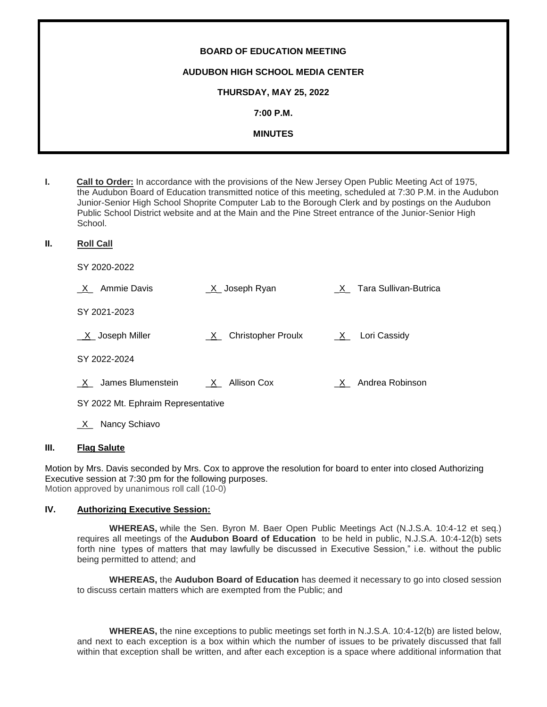| <b>BOARD OF EDUCATION MEETING</b>       |
|-----------------------------------------|
| <b>AUDUBON HIGH SCHOOL MEDIA CENTER</b> |
| THURSDAY, MAY 25, 2022                  |
| 7:00 P.M.                               |
| <b>MINUTES</b>                          |
|                                         |

**I. Call to Order:** In accordance with the provisions of the New Jersey Open Public Meeting Act of 1975, the Audubon Board of Education transmitted notice of this meeting, scheduled at 7:30 P.M. in the Audubon Junior-Senior High School Shoprite Computer Lab to the Borough Clerk and by postings on the Audubon Public School District website and at the Main and the Pine Street entrance of the Junior-Senior High School.

**II. Roll Call**

SY 2020-2022

| Ammie Davis<br>X                   | _X_ Joseph Ryan                      |              | X Tara Sullivan-Butrica |
|------------------------------------|--------------------------------------|--------------|-------------------------|
| SY 2021-2023                       |                                      |              |                         |
| $X$ Joseph Miller                  | <b>Christopher Proulx</b><br>$X_{-}$ | $\mathsf{X}$ | Lori Cassidy            |
| SY 2022-2024                       |                                      |              |                         |
| James Blumenstein<br>X             | $X_$ Allison Cox                     | $\mathsf{X}$ | Andrea Robinson         |
| SY 2022 Mt. Ephraim Representative |                                      |              |                         |

X<sub>\_</sub> Nancy Schiavo

# **III. Flag Salute**

Motion by Mrs. Davis seconded by Mrs. Cox to approve the resolution for board to enter into closed Authorizing Executive session at 7:30 pm for the following purposes. Motion approved by unanimous roll call (10-0)

#### **IV. Authorizing Executive Session:**

**WHEREAS,** while the Sen. Byron M. Baer Open Public Meetings Act (N.J.S.A. 10:4-12 et seq.) requires all meetings of the **Audubon Board of Education** to be held in public, N.J.S.A. 10:4-12(b) sets forth nine types of matters that may lawfully be discussed in Executive Session," i.e. without the public being permitted to attend; and

**WHEREAS,** the **Audubon Board of Education** has deemed it necessary to go into closed session to discuss certain matters which are exempted from the Public; and

**WHEREAS,** the nine exceptions to public meetings set forth in N.J.S.A. 10:4-12(b) are listed below, and next to each exception is a box within which the number of issues to be privately discussed that fall within that exception shall be written, and after each exception is a space where additional information that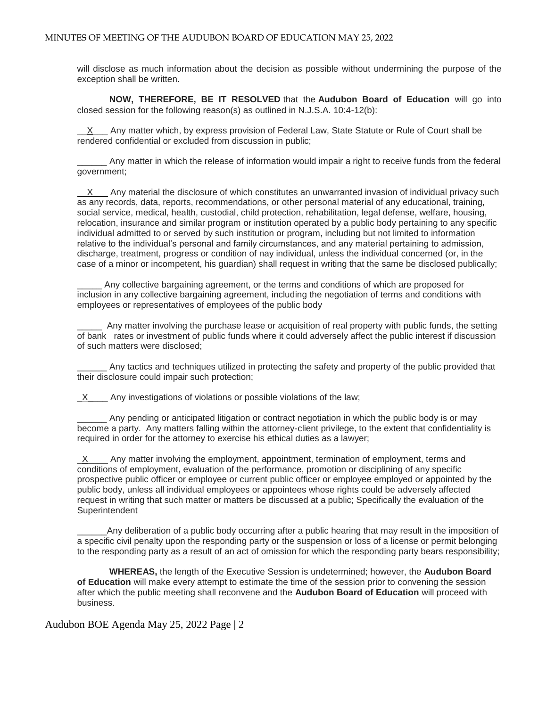will disclose as much information about the decision as possible without undermining the purpose of the exception shall be written.

**NOW, THEREFORE, BE IT RESOLVED** that the **Audubon Board of Education** will go into closed session for the following reason(s) as outlined in N.J.S.A. 10:4-12(b):

 $X$  Any matter which, by express provision of Federal Law, State Statute or Rule of Court shall be rendered confidential or excluded from discussion in public;

Any matter in which the release of information would impair a right to receive funds from the federal government;

 X Any material the disclosure of which constitutes an unwarranted invasion of individual privacy such as any records, data, reports, recommendations, or other personal material of any educational, training, social service, medical, health, custodial, child protection, rehabilitation, legal defense, welfare, housing, relocation, insurance and similar program or institution operated by a public body pertaining to any specific individual admitted to or served by such institution or program, including but not limited to information relative to the individual's personal and family circumstances, and any material pertaining to admission, discharge, treatment, progress or condition of nay individual, unless the individual concerned (or, in the case of a minor or incompetent, his guardian) shall request in writing that the same be disclosed publically;

Any collective bargaining agreement, or the terms and conditions of which are proposed for inclusion in any collective bargaining agreement, including the negotiation of terms and conditions with employees or representatives of employees of the public body

Any matter involving the purchase lease or acquisition of real property with public funds, the setting of bank rates or investment of public funds where it could adversely affect the public interest if discussion of such matters were disclosed;

Any tactics and techniques utilized in protecting the safety and property of the public provided that their disclosure could impair such protection;

 $X$  Any investigations of violations or possible violations of the law;

Any pending or anticipated litigation or contract negotiation in which the public body is or may become a party. Any matters falling within the attorney-client privilege, to the extent that confidentiality is required in order for the attorney to exercise his ethical duties as a lawyer;

 $X$  Any matter involving the employment, appointment, termination of employment, terms and conditions of employment, evaluation of the performance, promotion or disciplining of any specific prospective public officer or employee or current public officer or employee employed or appointed by the public body, unless all individual employees or appointees whose rights could be adversely affected request in writing that such matter or matters be discussed at a public; Specifically the evaluation of the **Superintendent** 

Any deliberation of a public body occurring after a public hearing that may result in the imposition of a specific civil penalty upon the responding party or the suspension or loss of a license or permit belonging to the responding party as a result of an act of omission for which the responding party bears responsibility;

**WHEREAS,** the length of the Executive Session is undetermined; however, the **Audubon Board of Education** will make every attempt to estimate the time of the session prior to convening the session after which the public meeting shall reconvene and the **Audubon Board of Education** will proceed with business.

# Audubon BOE Agenda May 25, 2022 Page | 2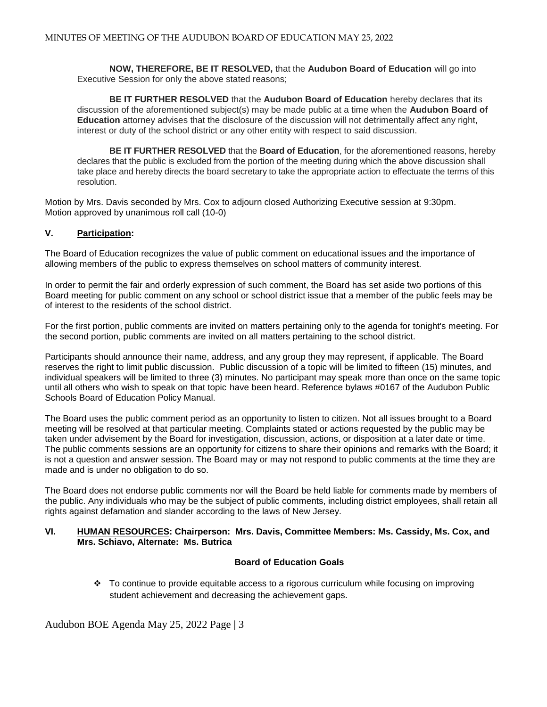**NOW, THEREFORE, BE IT RESOLVED,** that the **Audubon Board of Education** will go into Executive Session for only the above stated reasons;

**BE IT FURTHER RESOLVED** that the **Audubon Board of Education** hereby declares that its discussion of the aforementioned subject(s) may be made public at a time when the **Audubon Board of Education** attorney advises that the disclosure of the discussion will not detrimentally affect any right, interest or duty of the school district or any other entity with respect to said discussion.

**BE IT FURTHER RESOLVED** that the **Board of Education**, for the aforementioned reasons, hereby declares that the public is excluded from the portion of the meeting during which the above discussion shall take place and hereby directs the board secretary to take the appropriate action to effectuate the terms of this resolution.

Motion by Mrs. Davis seconded by Mrs. Cox to adjourn closed Authorizing Executive session at 9:30pm. Motion approved by unanimous roll call (10-0)

# **V. Participation:**

The Board of Education recognizes the value of public comment on educational issues and the importance of allowing members of the public to express themselves on school matters of community interest.

In order to permit the fair and orderly expression of such comment, the Board has set aside two portions of this Board meeting for public comment on any school or school district issue that a member of the public feels may be of interest to the residents of the school district.

For the first portion, public comments are invited on matters pertaining only to the agenda for tonight's meeting. For the second portion, public comments are invited on all matters pertaining to the school district.

Participants should announce their name, address, and any group they may represent, if applicable. The Board reserves the right to limit public discussion. Public discussion of a topic will be limited to fifteen (15) minutes, and individual speakers will be limited to three (3) minutes. No participant may speak more than once on the same topic until all others who wish to speak on that topic have been heard. Reference bylaws #0167 of the Audubon Public Schools Board of Education Policy Manual.

The Board uses the public comment period as an opportunity to listen to citizen. Not all issues brought to a Board meeting will be resolved at that particular meeting. Complaints stated or actions requested by the public may be taken under advisement by the Board for investigation, discussion, actions, or disposition at a later date or time. The public comments sessions are an opportunity for citizens to share their opinions and remarks with the Board; it is not a question and answer session. The Board may or may not respond to public comments at the time they are made and is under no obligation to do so.

The Board does not endorse public comments nor will the Board be held liable for comments made by members of the public. Any individuals who may be the subject of public comments, including district employees, shall retain all rights against defamation and slander according to the laws of New Jersey.

#### **VI. HUMAN RESOURCES: Chairperson: Mrs. Davis, Committee Members: Ms. Cassidy, Ms. Cox, and Mrs. Schiavo, Alternate: Ms. Butrica**

#### **Board of Education Goals**

 To continue to provide equitable access to a rigorous curriculum while focusing on improving student achievement and decreasing the achievement gaps.

Audubon BOE Agenda May 25, 2022 Page | 3